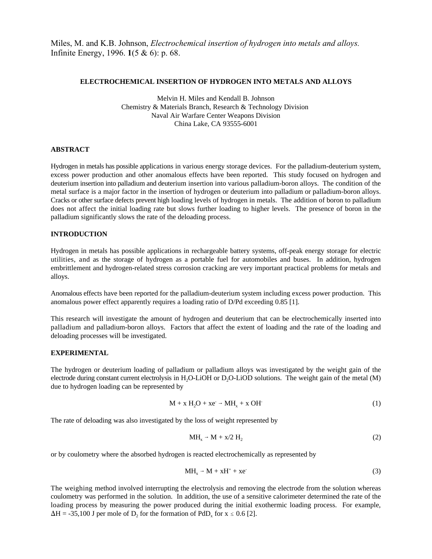Miles, M. and K.B. Johnson, *Electrochemical insertion of hydrogen into metals and alloys.* Infinite Energy, 1996. **1**(5 & 6): p. 68.

#### **ELECTROCHEMICAL INSERTION OF HYDROGEN INTO METALS AND ALLOYS**

Melvin H. Miles and Kendall B. Johnson Chemistry & Materials Branch, Research & Technology Division Naval Air Warfare Center Weapons Division China Lake, CA 93555-6001

#### **ABSTRACT**

Hydrogen in metals has possible applications in various energy storage devices. For the palladium-deuterium system, excess power production and other anomalous effects have been reported. This study focused on hydrogen and deuterium insertion into palladium and deuterium insertion into various palladium-boron alloys. The condition of the metal surface is a major factor in the insertion of hydrogen or deuterium into palladium or palladium-boron alloys. Cracks or other surface defects prevent high loading levels of hydrogen in metals. The addition of boron to palladium does not affect the initial loading rate but slows further loading to higher levels. The presence of boron in the palladium significantly slows the rate of the deloading process.

### **INTRODUCTION**

Hydrogen in metals has possible applications in rechargeable battery systems, off-peak energy storage for electric utilities, and as the storage of hydrogen as a portable fuel for automobiles and buses. In addition, hydrogen embrittlement and hydrogen-related stress corrosion cracking are very important practical problems for metals and alloys.

Anomalous effects have been reported for the palladium-deuterium system including excess power production. This anomalous power effect apparently requires a loading ratio of D/Pd exceeding 0.85 [1].

This research will investigate the amount of hydrogen and deuterium that can be electrochemically inserted into palladium and palladium-boron alloys. Factors that affect the extent of loading and the rate of the loading and deloading processes will be investigated.

#### **EXPERIMENTAL**

The hydrogen or deuterium loading of palladium or palladium alloys was investigated by the weight gain of the electrode during constant current electrolysis in H<sub>2</sub>O-LiOH or D<sub>2</sub>O-LiOD solutions. The weight gain of the metal (M) due to hydrogen loading can be represented by

$$
M + x H2O + xe \rightarrow MHx + x OH
$$
 (1)

The rate of deloading was also investigated by the loss of weight represented by

$$
MH_x \to M + x/2 H_2 \tag{2}
$$

or by coulometry where the absorbed hydrogen is reacted electrochemically as represented by

$$
MH_x \rightarrow M + xH^+ + xe \tag{3}
$$

The weighing method involved interrupting the electrolysis and removing the electrode from the solution whereas coulometry was performed in the solution. In addition, the use of a sensitive calorimeter determined the rate of the loading process by measuring the power produced during the initial exothermic loading process. For example,  $\Delta H = -35,100$  J per mole of D<sub>2</sub> for the formation of PdD<sub>x</sub> for x  $\leq 0.6$  [2].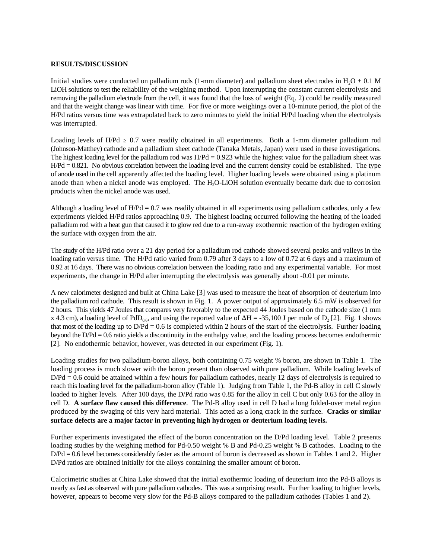### **RESULTS/DISCUSSION**

Initial studies were conducted on palladium rods (1-mm diameter) and palladium sheet electrodes in  $H<sub>2</sub>O + 0.1$  M LiOH solutions to test the reliability of the weighing method. Upon interrupting the constant current electrolysis and removing the palladium electrode from the cell, it was found that the loss of weight (Eq. 2) could be readily measured and that the weight change was linear with time. For five or more weighings over a 10-minute period, the plot of the H/Pd ratios versus time was extrapolated back to zero minutes to yield the initial H/Pd loading when the electrolysis was interrupted.

Loading levels of H/Pd  $\geq 0.7$  were readily obtained in all experiments. Both a 1-mm diameter palladium rod (Johnson-Matthey) cathode and a palladium sheet cathode (Tanaka Metals, Japan) were used in these investigations. The highest loading level for the palladium rod was  $H/Pd = 0.923$  while the highest value for the palladium sheet was H/Pd = 0.821. No obvious correlation between the loading level and the current density could be established. The type of anode used in the cell apparently affected the loading level. Higher loading levels were obtained using a platinum anode than when a nickel anode was employed. The  $H<sub>2</sub>O-LiOH$  solution eventually became dark due to corrosion products when the nickel anode was used.

Although a loading level of  $H/Pd = 0.7$  was readily obtained in all experiments using palladium cathodes, only a few experiments yielded H/Pd ratios approaching 0.9. The highest loading occurred following the heating of the loaded palladium rod with a heat gun that caused it to glow red due to a run-away exothermic reaction of the hydrogen exiting the surface with oxygen from the air.

The study of the H/Pd ratio over a 21 day period for a palladium rod cathode showed several peaks and valleys in the loading ratio versus time. The H/Pd ratio varied from 0.79 after 3 days to a low of 0.72 at 6 days and a maximum of 0.92 at 16 days. There was no obvious correlation between the loading ratio and any experimental variable. For most experiments, the change in H/Pd after interrupting the electrolysis was generally about -0.01 per minute.

A new calorimeter designed and built at China Lake [3] was used to measure the heat of absorption of deuterium into the palladium rod cathode. This result is shown in Fig. 1. A power output of approximately 6.5 mW is observed for 2 hours. This yields 47 Joules that compares very favorably to the expected 44 Joules based on the cathode size (1 mm x 4.3 cm), a loading level of PdD<sub>0.6</sub>, and using the reported value of  $\Delta H = -35,100$  J per mole of D<sub>2</sub> [2]. Fig. 1 shows that most of the loading up to  $D/Pd = 0.6$  is completed within 2 hours of the start of the electrolysis. Further loading beyond the D/Pd = 0.6 ratio yields a discontinuity in the enthalpy value, and the loading process becomes endothermic [2]. No endothermic behavior, however, was detected in our experiment (Fig. 1).

Loading studies for two palladium-boron alloys, both containing 0.75 weight % boron, are shown in Table 1. The loading process is much slower with the boron present than observed with pure palladium. While loading levels of D/Pd = 0.6 could be attained within a few hours for palladium cathodes, nearly 12 days of electrolysis is required to reach this loading level for the palladium-boron alloy (Table 1). Judging from Table 1, the Pd-B alloy in cell C slowly loaded to higher levels. After 100 days, the D/Pd ratio was 0.85 for the alloy in cell C but only 0.63 for the alloy in cell D. **A surface flaw caused this difference**. The Pd-B alloy used in cell D had a long folded-over metal region produced by the swaging of this very hard material. This acted as a long crack in the surface. **Cracks or similar surface defects are a major factor in preventing high hydrogen or deuterium loading levels.**

Further experiments investigated the effect of the boron concentration on the D/Pd loading level. Table 2 presents loading studies by the weighing method for Pd-0.50 weight % B and Pd-0.25 weight % B cathodes. Loading to the D/Pd = 0.6 level becomes considerably faster as the amount of boron is decreased as shown in Tables 1 and 2. Higher D/Pd ratios are obtained initially for the alloys containing the smaller amount of boron.

Calorimetric studies at China Lake showed that the initial exothermic loading of deuterium into the Pd-B alloys is nearly as fast as observed with pure palladium cathodes. This was a surprising result. Further loading to higher levels, however, appears to become very slow for the Pd-B alloys compared to the palladium cathodes (Tables 1 and 2).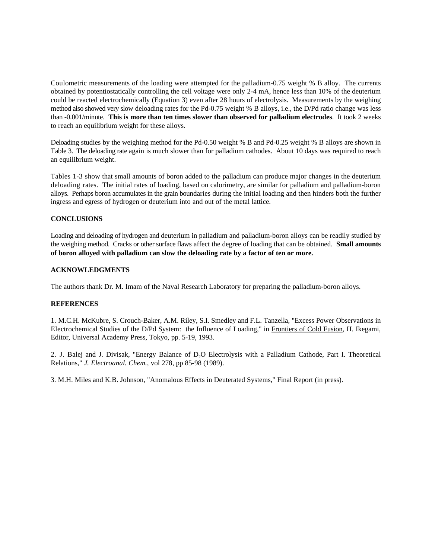Coulometric measurements of the loading were attempted for the palladium-0.75 weight % B alloy. The currents obtained by potentiostatically controlling the cell voltage were only 2-4 mA, hence less than 10% of the deuterium could be reacted electrochemically (Equation 3) even after 28 hours of electrolysis. Measurements by the weighing method also showed very slow deloading rates for the Pd-0.75 weight % B alloys, i.e., the D/Pd ratio change was less than -0.001/minute. **This is more than ten times slower than observed for palladium electrodes**. It took 2 weeks to reach an equilibrium weight for these alloys.

Deloading studies by the weighing method for the Pd-0.50 weight % B and Pd-0.25 weight % B alloys are shown in Table 3. The deloading rate again is much slower than for palladium cathodes. About 10 days was required to reach an equilibrium weight.

Tables 1-3 show that small amounts of boron added to the palladium can produce major changes in the deuterium deloading rates. The initial rates of loading, based on calorimetry, are similar for palladium and palladium-boron alloys. Perhaps boron accumulates in the grain boundaries during the initial loading and then hinders both the further ingress and egress of hydrogen or deuterium into and out of the metal lattice.

# **CONCLUSIONS**

Loading and deloading of hydrogen and deuterium in palladium and palladium-boron alloys can be readily studied by the weighing method. Cracks or other surface flaws affect the degree of loading that can be obtained. **Small amounts of boron alloyed with palladium can slow the deloading rate by a factor of ten or more.**

## **ACKNOWLEDGMENTS**

The authors thank Dr. M. Imam of the Naval Research Laboratory for preparing the palladium-boron alloys.

#### **REFERENCES**

1. M.C.H. McKubre, S. Crouch-Baker, A.M. Riley, S.I. Smedley and F.L. Tanzella, "Excess Power Observations in Electrochemical Studies of the D/Pd System: the Influence of Loading," in Frontiers of Cold Fusion, H. Ikegami, Editor, Universal Academy Press, Tokyo, pp. 5-19, 1993.

2. J. Balej and J. Divisak, "Energy Balance of D<sub>2</sub>O Electrolysis with a Palladium Cathode, Part I. Theoretical Relations," *J. Electroanal. Chem.*, vol 278, pp 85-98 (1989).

3. M.H. Miles and K.B. Johnson, "Anomalous Effects in Deuterated Systems," Final Report (in press).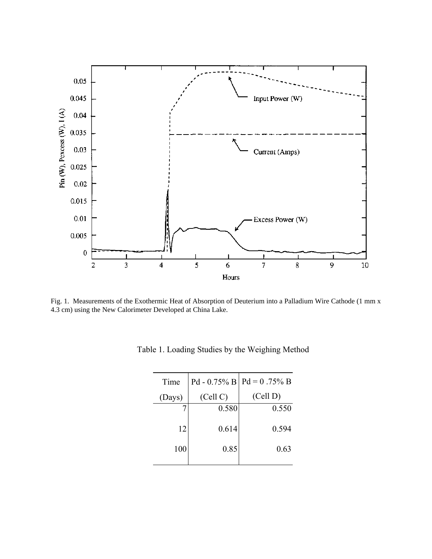

Fig. 1. Measurements of the Exothermic Heat of Absorption of Deuterium into a Palladium Wire Cathode (1 mm x 4.3 cm) using the New Calorimeter Developed at China Lake.

| Time   |          | Pd - 0.75% B   Pd = 0.75% B |
|--------|----------|-----------------------------|
| (Days) | (Cell C) | (Cell D)                    |
|        | 0.580    | 0.550                       |
| 12     | 0.614    | 0.594                       |
| 100    | 0.85     | 0.63                        |
|        |          |                             |

Table 1. Loading Studies by the Weighing Method